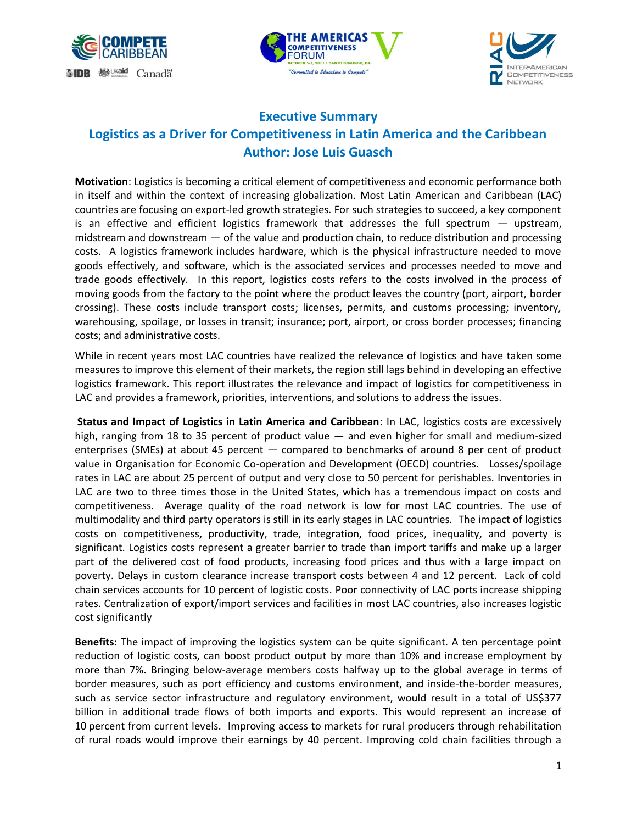





## **Executive Summary Logistics as a Driver for Competitiveness in Latin America and the Caribbean Author: Jose Luis Guasch**

**Motivation**: Logistics is becoming a critical element of competitiveness and economic performance both in itself and within the context of increasing globalization. Most Latin American and Caribbean (LAC) countries are focusing on export-led growth strategies. For such strategies to succeed, a key component is an effective and efficient logistics framework that addresses the full spectrum — upstream, midstream and downstream — of the value and production chain, to reduce distribution and processing costs. A logistics framework includes hardware, which is the physical infrastructure needed to move goods effectively, and software, which is the associated services and processes needed to move and trade goods effectively. In this report, logistics costs refers to the costs involved in the process of moving goods from the factory to the point where the product leaves the country (port, airport, border crossing). These costs include transport costs; licenses, permits, and customs processing; inventory, warehousing, spoilage, or losses in transit; insurance; port, airport, or cross border processes; financing costs; and administrative costs.

While in recent years most LAC countries have realized the relevance of logistics and have taken some measures to improve this element of their markets, the region still lags behind in developing an effective logistics framework. This report illustrates the relevance and impact of logistics for competitiveness in LAC and provides a framework, priorities, interventions, and solutions to address the issues.

**Status and Impact of Logistics in Latin America and Caribbean**: In LAC, logistics costs are excessively high, ranging from 18 to 35 percent of product value — and even higher for small and medium-sized enterprises (SMEs) at about 45 percent — compared to benchmarks of around 8 per cent of product value in Organisation for Economic Co-operation and Development (OECD) countries. Losses/spoilage rates in LAC are about 25 percent of output and very close to 50 percent for perishables. Inventories in LAC are two to three times those in the United States, which has a tremendous impact on costs and competitiveness. Average quality of the road network is low for most LAC countries. The use of multimodality and third party operators is still in its early stages in LAC countries. The impact of logistics costs on competitiveness, productivity, trade, integration, food prices, inequality, and poverty is significant. Logistics costs represent a greater barrier to trade than import tariffs and make up a larger part of the delivered cost of food products, increasing food prices and thus with a large impact on poverty. Delays in custom clearance increase transport costs between 4 and 12 percent. Lack of cold chain services accounts for 10 percent of logistic costs. Poor connectivity of LAC ports increase shipping rates. Centralization of export/import services and facilities in most LAC countries, also increases logistic cost significantly

**Benefits:** The impact of improving the logistics system can be quite significant. A ten percentage point reduction of logistic costs, can boost product output by more than 10% and increase employment by more than 7%. Bringing below-average members costs halfway up to the global average in terms of border measures, such as port efficiency and customs environment, and inside-the-border measures, such as service sector infrastructure and regulatory environment, would result in a total of US\$377 billion in additional trade flows of both imports and exports. This would represent an increase of 10 percent from current levels. Improving access to markets for rural producers through rehabilitation of rural roads would improve their earnings by 40 percent. Improving cold chain facilities through a